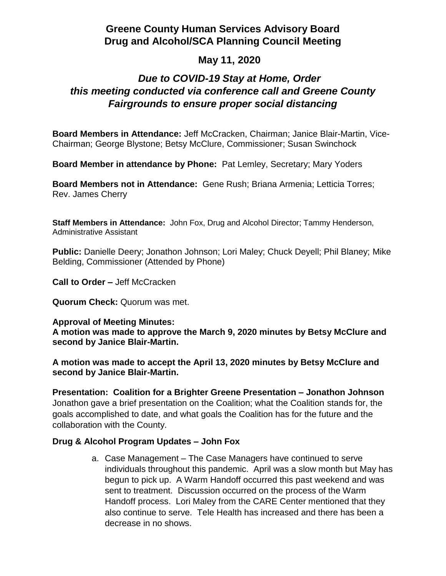## **Greene County Human Services Advisory Board Drug and Alcohol/SCA Planning Council Meeting**

## **May 11, 2020**

# *Due to COVID-19 Stay at Home, Order this meeting conducted via conference call and Greene County Fairgrounds to ensure proper social distancing*

**Board Members in Attendance:** Jeff McCracken, Chairman; Janice Blair-Martin, Vice-Chairman; George Blystone; Betsy McClure, Commissioner; Susan Swinchock

**Board Member in attendance by Phone:** Pat Lemley, Secretary; Mary Yoders

**Board Members not in Attendance:** Gene Rush; Briana Armenia; Letticia Torres; Rev. James Cherry

**Staff Members in Attendance:** John Fox, Drug and Alcohol Director; Tammy Henderson, Administrative Assistant

**Public:** Danielle Deery; Jonathon Johnson; Lori Maley; Chuck Deyell; Phil Blaney; Mike Belding, Commissioner (Attended by Phone)

**Call to Order –** Jeff McCracken

**Quorum Check:** Quorum was met.

**Approval of Meeting Minutes:**

**A motion was made to approve the March 9, 2020 minutes by Betsy McClure and second by Janice Blair-Martin.**

**A motion was made to accept the April 13, 2020 minutes by Betsy McClure and second by Janice Blair-Martin.**

**Presentation: Coalition for a Brighter Greene Presentation – Jonathon Johnson** Jonathon gave a brief presentation on the Coalition; what the Coalition stands for, the goals accomplished to date, and what goals the Coalition has for the future and the collaboration with the County.

#### **Drug & Alcohol Program Updates – John Fox**

a. Case Management – The Case Managers have continued to serve individuals throughout this pandemic. April was a slow month but May has begun to pick up. A Warm Handoff occurred this past weekend and was sent to treatment. Discussion occurred on the process of the Warm Handoff process. Lori Maley from the CARE Center mentioned that they also continue to serve. Tele Health has increased and there has been a decrease in no shows.